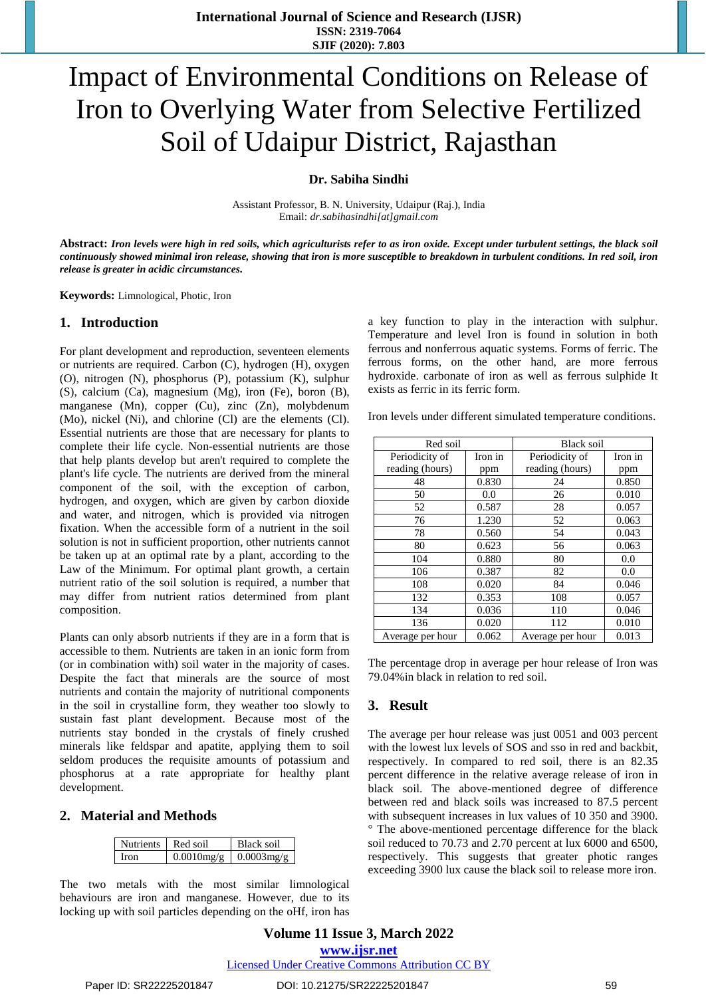# Impact of Environmental Conditions on Release of Iron to Overlying Water from Selective Fertilized Soil of Udaipur District, Rajasthan

**Dr. Sabiha Sindhi**

Assistant Professor, B. N. University, Udaipur (Raj.), India Email: *dr.sabihasindhi[at]gmail.com*

**Abstract:** *Iron levels were high in red soils, which agriculturists refer to as iron oxide. Except under turbulent settings, the black soil continuously showed minimal iron release, showing that iron is more susceptible to breakdown in turbulent conditions. In red soil, iron release is greater in acidic circumstances.*

**Keywords:** Limnological, Photic, Iron

#### **1. Introduction**

For plant development and reproduction, seventeen elements or nutrients are required. Carbon (C), hydrogen (H), oxygen (O), nitrogen (N), phosphorus (P), potassium (K), sulphur (S), calcium (Ca), magnesium (Mg), iron (Fe), boron (B), manganese (Mn), copper (Cu), zinc (Zn), molybdenum (Mo), nickel (Ni), and chlorine (Cl) are the elements (Cl). Essential nutrients are those that are necessary for plants to complete their life cycle. Non-essential nutrients are those that help plants develop but aren't required to complete the plant's life cycle. The nutrients are derived from the mineral component of the soil, with the exception of carbon, hydrogen, and oxygen, which are given by carbon dioxide and water, and nitrogen, which is provided via nitrogen fixation. When the accessible form of a nutrient in the soil solution is not in sufficient proportion, other nutrients cannot be taken up at an optimal rate by a plant, according to the Law of the Minimum. For optimal plant growth, a certain nutrient ratio of the soil solution is required, a number that may differ from nutrient ratios determined from plant composition.

Plants can only absorb nutrients if they are in a form that is accessible to them. Nutrients are taken in an ionic form from (or in combination with) soil water in the majority of cases. Despite the fact that minerals are the source of most nutrients and contain the majority of nutritional components in the soil in crystalline form, they weather too slowly to sustain fast plant development. Because most of the nutrients stay bonded in the crystals of finely crushed minerals like feldspar and apatite, applying them to soil seldom produces the requisite amounts of potassium and phosphorus at a rate appropriate for healthy plant development.

### **2. Material and Methods**

| <b>Nutrients</b> | Red soil      | lack soil     |
|------------------|---------------|---------------|
| r∩n              | $0.0010$ mg/g | $0.0003$ mg/g |

The two metals with the most similar limnological behaviours are iron and manganese. However, due to its locking up with soil particles depending on the oHf, iron has a key function to play in the interaction with sulphur. Temperature and level Iron is found in solution in both ferrous and nonferrous aquatic systems. Forms of ferric. The ferrous forms, on the other hand, are more ferrous hydroxide. carbonate of iron as well as ferrous sulphide It exists as ferric in its ferric form.

Iron levels under different simulated temperature conditions.

| Red soil         |         | <b>Black soil</b> |         |
|------------------|---------|-------------------|---------|
| Periodicity of   | Iron in | Periodicity of    | Iron in |
| reading (hours)  | ppm     | reading (hours)   | ppm     |
| 48               | 0.830   | 24                | 0.850   |
| 50               | 0.0     | 26                | 0.010   |
| 52               | 0.587   | 28                | 0.057   |
| 76               | 1.230   | 52                | 0.063   |
| 78               | 0.560   | 54                | 0.043   |
| 80               | 0.623   | 56                | 0.063   |
| 104              | 0.880   | 80                | 0.0     |
| 106              | 0.387   | 82                | 0.0     |
| 108              | 0.020   | 84                | 0.046   |
| 132              | 0.353   | 108               | 0.057   |
| 134              | 0.036   | 110               | 0.046   |
| 136              | 0.020   | 112               | 0.010   |
| Average per hour | 0.062   | Average per hour  | 0.013   |

The percentage drop in average per hour release of Iron was 79.04%in black in relation to red soil.

### **3. Result**

The average per hour release was just 0051 and 003 percent with the lowest lux levels of SOS and sso in red and backbit, respectively. In compared to red soil, there is an 82.35 percent difference in the relative average release of iron in black soil. The above-mentioned degree of difference between red and black soils was increased to 87.5 percent with subsequent increases in lux values of 10 350 and 3900. ° The above-mentioned percentage difference for the black soil reduced to 70.73 and 2.70 percent at lux 6000 and 6500, respectively. This suggests that greater photic ranges exceeding 3900 lux cause the black soil to release more iron.